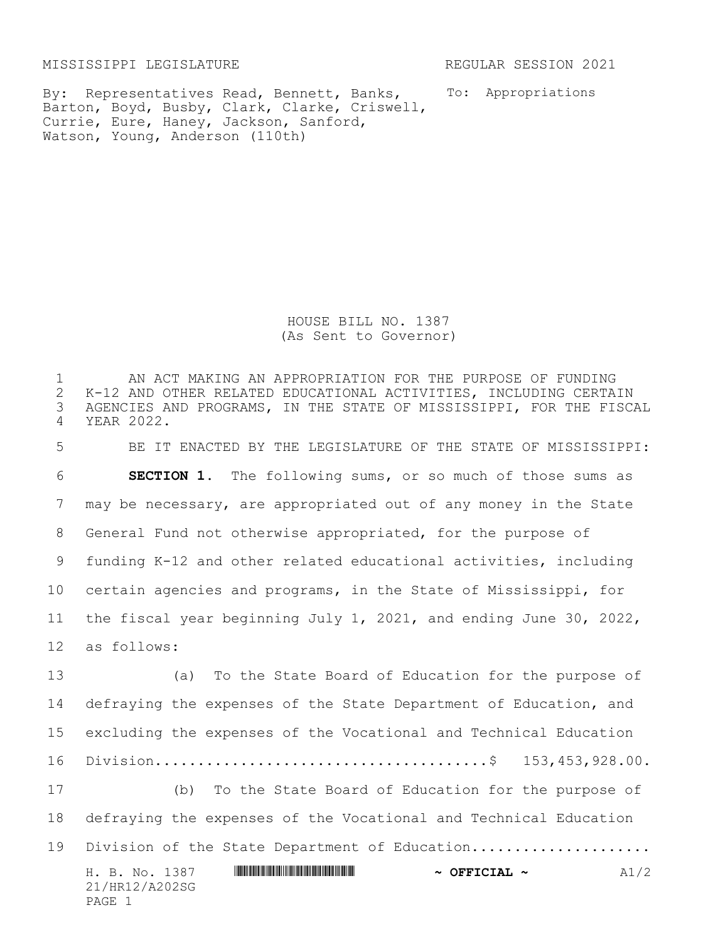MISSISSIPPI LEGISLATURE REGULAR SESSION 2021

PAGE 1

By: Representatives Read, Bennett, Banks, Barton, Boyd, Busby, Clark, Clarke, Criswell, Currie, Eure, Haney, Jackson, Sanford, Watson, Young, Anderson (110th)

To: Appropriations

HOUSE BILL NO. 1387 (As Sent to Governor)

H. B. No. 1387 \*HR12/A202SG\* **~ OFFICIAL ~** A1/2 21/HR12/A202SG 1 AN ACT MAKING AN APPROPRIATION FOR THE PURPOSE OF FUNDING<br>2 K-12 AND OTHER RELATED EDUCATIONAL ACTIVITIES, INCLUDING CERTA 2 K-12 AND OTHER RELATED EDUCATIONAL ACTIVITIES, INCLUDING CERTAIN<br>3 AGENCIES AND PROGRAMS, IN THE STATE OF MISSISSIPPI, FOR THE FISC. AGENCIES AND PROGRAMS, IN THE STATE OF MISSISSIPPI, FOR THE FISCAL YEAR 2022. BE IT ENACTED BY THE LEGISLATURE OF THE STATE OF MISSISSIPPI: **SECTION 1.** The following sums, or so much of those sums as may be necessary, are appropriated out of any money in the State General Fund not otherwise appropriated, for the purpose of funding K-12 and other related educational activities, including certain agencies and programs, in the State of Mississippi, for the fiscal year beginning July 1, 2021, and ending June 30, 2022, as follows: (a) To the State Board of Education for the purpose of defraying the expenses of the State Department of Education, and excluding the expenses of the Vocational and Technical Education Division.......................................\$ 153,453,928.00. (b) To the State Board of Education for the purpose of defraying the expenses of the Vocational and Technical Education 19 Division of the State Department of Education....................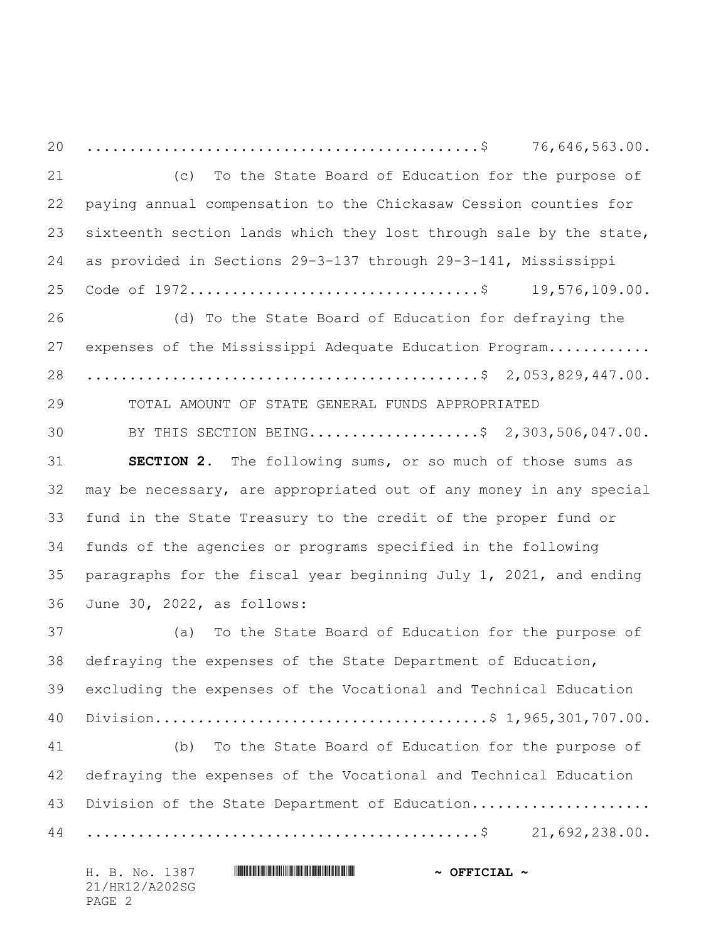..............................................\$ 76,646,563.00. (c) To the State Board of Education for the purpose of paying annual compensation to the Chickasaw Cession counties for sixteenth section lands which they lost through sale by the state, as provided in Sections 29-3-137 through 29-3-141, Mississippi Code of 1972..................................\$ 19,576,109.00. (d) To the State Board of Education for defraying the 27 expenses of the Mississippi Adequate Education Program............ ..............................................\$ 2,053,829,447.00. TOTAL AMOUNT OF STATE GENERAL FUNDS APPROPRIATED 30 BY THIS SECTION BEING.....................\$ 2,303,506,047.00. **SECTION 2.** The following sums, or so much of those sums as may be necessary, are appropriated out of any money in any special fund in the State Treasury to the credit of the proper fund or funds of the agencies or programs specified in the following paragraphs for the fiscal year beginning July 1, 2021, and ending June 30, 2022, as follows: (a) To the State Board of Education for the purpose of defraying the expenses of the State Department of Education, excluding the expenses of the Vocational and Technical Education Division.......................................\$ 1,965,301,707.00. (b) To the State Board of Education for the purpose of defraying the expenses of the Vocational and Technical Education 43 Division of the State Department of Education.................... ..............................................\$ 21,692,238.00.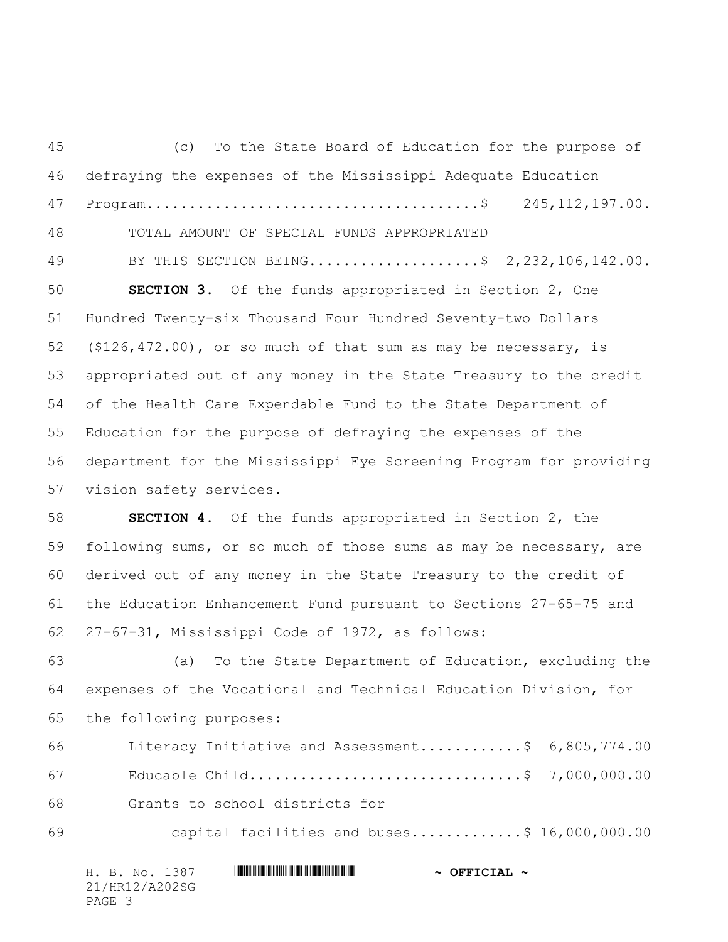(c) To the State Board of Education for the purpose of defraying the expenses of the Mississippi Adequate Education Program.......................................\$ 245,112,197.00. TOTAL AMOUNT OF SPECIAL FUNDS APPROPRIATED 49 BY THIS SECTION BEING.....................\$ 2,232,106,142.00. **SECTION 3.** Of the funds appropriated in Section 2, One Hundred Twenty-six Thousand Four Hundred Seventy-two Dollars (\$126,472.00), or so much of that sum as may be necessary, is appropriated out of any money in the State Treasury to the credit of the Health Care Expendable Fund to the State Department of Education for the purpose of defraying the expenses of the department for the Mississippi Eye Screening Program for providing vision safety services. **SECTION 4.** Of the funds appropriated in Section 2, the following sums, or so much of those sums as may be necessary, are derived out of any money in the State Treasury to the credit of the Education Enhancement Fund pursuant to Sections 27-65-75 and 27-67-31, Mississippi Code of 1972, as follows: (a) To the State Department of Education, excluding the expenses of the Vocational and Technical Education Division, for the following purposes: Literacy Initiative and Assessment............\$ 6,805,774.00 Educable Child................................\$ 7,000,000.00 Grants to school districts for capital facilities and buses.............\$ 16,000,000.00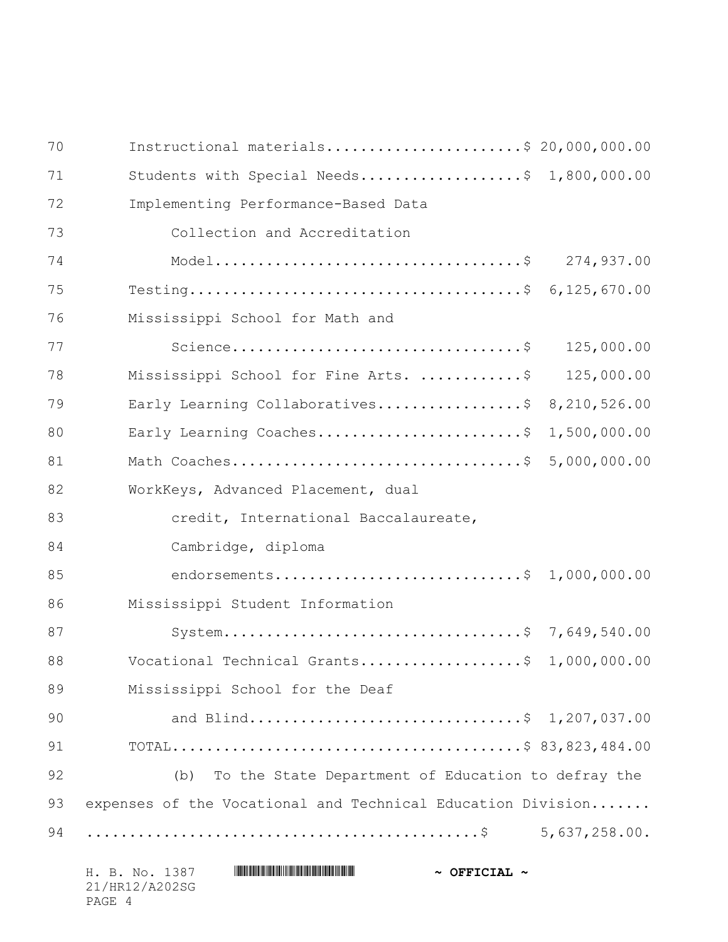| 70 | Instructional materials\$ 20,000,000.00                     |              |
|----|-------------------------------------------------------------|--------------|
| 71 | Students with Special Needs\$ 1,800,000.00                  |              |
| 72 | Implementing Performance-Based Data                         |              |
| 73 | Collection and Accreditation                                |              |
| 74 |                                                             | 274,937.00   |
| 75 |                                                             |              |
| 76 | Mississippi School for Math and                             |              |
| 77 |                                                             | 125,000.00   |
| 78 | Mississippi School for Fine Arts. \$                        | 125,000.00   |
| 79 | Early Learning Collaboratives\$                             | 8,210,526.00 |
| 80 | Early Learning Coaches\$                                    | 1,500,000.00 |
| 81 |                                                             | 5,000,000.00 |
| 82 | WorkKeys, Advanced Placement, dual                          |              |
| 83 | credit, International Baccalaureate,                        |              |
| 84 | Cambridge, diploma                                          |              |
| 85 | endorsements\$                                              | 1,000,000.00 |
| 86 | Mississippi Student Information                             |              |
| 87 | System\$ 7,649,540.00                                       |              |
| 88 | Vocational Technical Grants\$                               | 1,000,000.00 |
| 89 | Mississippi School for the Deaf                             |              |
| 90 | and Blind\$ 1,207,037.00                                    |              |
| 91 |                                                             |              |
| 92 | To the State Department of Education to defray the<br>(b)   |              |
| 93 | expenses of the Vocational and Technical Education Division |              |
| 94 |                                                             |              |
|    |                                                             |              |

| H. B. No. 1387 | $\sim$ OFFICIAL $\sim$ |
|----------------|------------------------|
| 21/HR12/A202SG |                        |
| PAGE 4         |                        |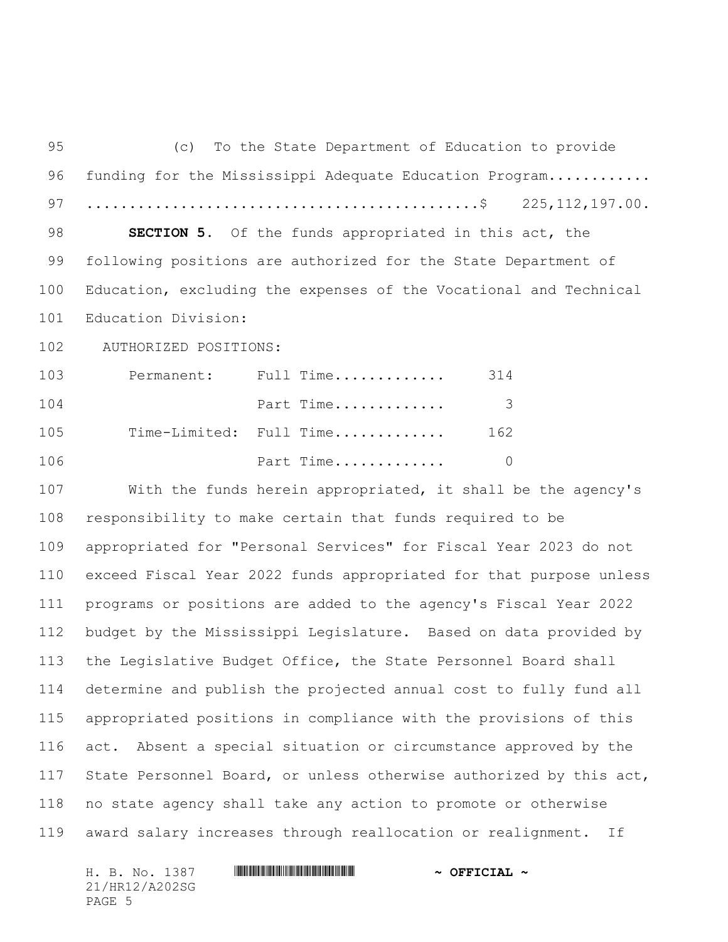(c) To the State Department of Education to provide 96 funding for the Mississippi Adequate Education Program........... ..............................................\$ 225,112,197.00. **SECTION 5.** Of the funds appropriated in this act, the following positions are authorized for the State Department of Education, excluding the expenses of the Vocational and Technical Education Division: 102 AUTHORIZED POSITIONS: Permanent: Full Time............. 314 Part Time............. 3 Time-Limited: Full Time............. 162 Part Time............. 0 With the funds herein appropriated, it shall be the agency's responsibility to make certain that funds required to be appropriated for "Personal Services" for Fiscal Year 2023 do not exceed Fiscal Year 2022 funds appropriated for that purpose unless programs or positions are added to the agency's Fiscal Year 2022 budget by the Mississippi Legislature. Based on data provided by the Legislative Budget Office, the State Personnel Board shall determine and publish the projected annual cost to fully fund all appropriated positions in compliance with the provisions of this act. Absent a special situation or circumstance approved by the State Personnel Board, or unless otherwise authorized by this act, no state agency shall take any action to promote or otherwise award salary increases through reallocation or realignment. If

21/HR12/A202SG PAGE 5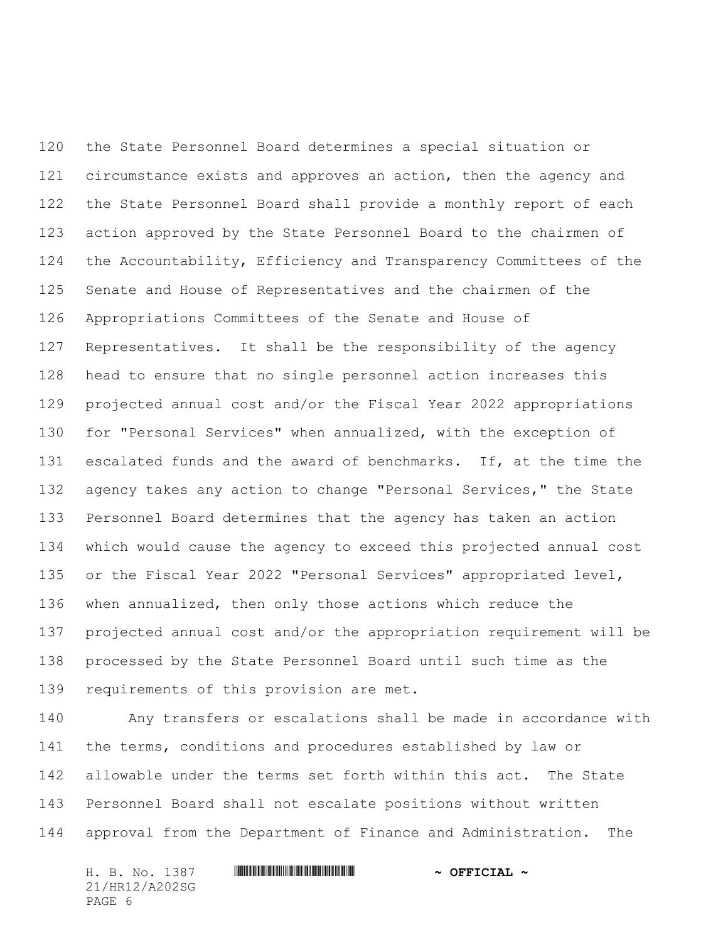the State Personnel Board determines a special situation or circumstance exists and approves an action, then the agency and the State Personnel Board shall provide a monthly report of each action approved by the State Personnel Board to the chairmen of the Accountability, Efficiency and Transparency Committees of the Senate and House of Representatives and the chairmen of the Appropriations Committees of the Senate and House of Representatives. It shall be the responsibility of the agency head to ensure that no single personnel action increases this projected annual cost and/or the Fiscal Year 2022 appropriations for "Personal Services" when annualized, with the exception of escalated funds and the award of benchmarks. If, at the time the 132 agency takes any action to change "Personal Services," the State Personnel Board determines that the agency has taken an action which would cause the agency to exceed this projected annual cost or the Fiscal Year 2022 "Personal Services" appropriated level, when annualized, then only those actions which reduce the projected annual cost and/or the appropriation requirement will be processed by the State Personnel Board until such time as the 139 requirements of this provision are met.

 Any transfers or escalations shall be made in accordance with the terms, conditions and procedures established by law or allowable under the terms set forth within this act. The State Personnel Board shall not escalate positions without written approval from the Department of Finance and Administration. The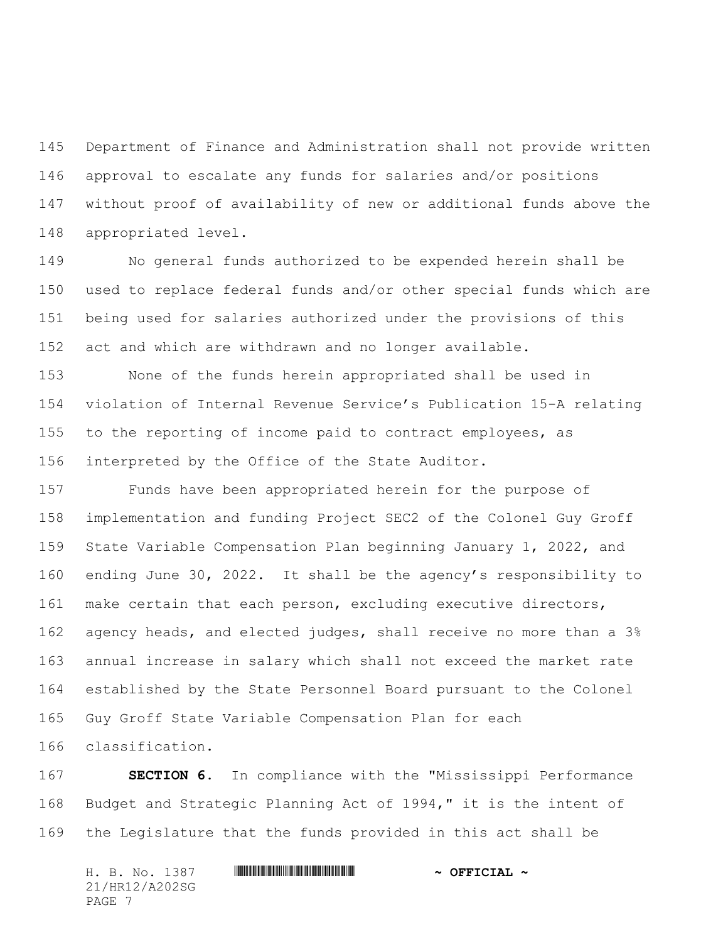Department of Finance and Administration shall not provide written approval to escalate any funds for salaries and/or positions without proof of availability of new or additional funds above the appropriated level.

 No general funds authorized to be expended herein shall be used to replace federal funds and/or other special funds which are being used for salaries authorized under the provisions of this act and which are withdrawn and no longer available.

 None of the funds herein appropriated shall be used in violation of Internal Revenue Service's Publication 15-A relating to the reporting of income paid to contract employees, as interpreted by the Office of the State Auditor.

 Funds have been appropriated herein for the purpose of implementation and funding Project SEC2 of the Colonel Guy Groff State Variable Compensation Plan beginning January 1, 2022, and ending June 30, 2022. It shall be the agency's responsibility to make certain that each person, excluding executive directors, agency heads, and elected judges, shall receive no more than a 3% annual increase in salary which shall not exceed the market rate established by the State Personnel Board pursuant to the Colonel Guy Groff State Variable Compensation Plan for each classification.

 **SECTION 6.** In compliance with the "Mississippi Performance Budget and Strategic Planning Act of 1994," it is the intent of the Legislature that the funds provided in this act shall be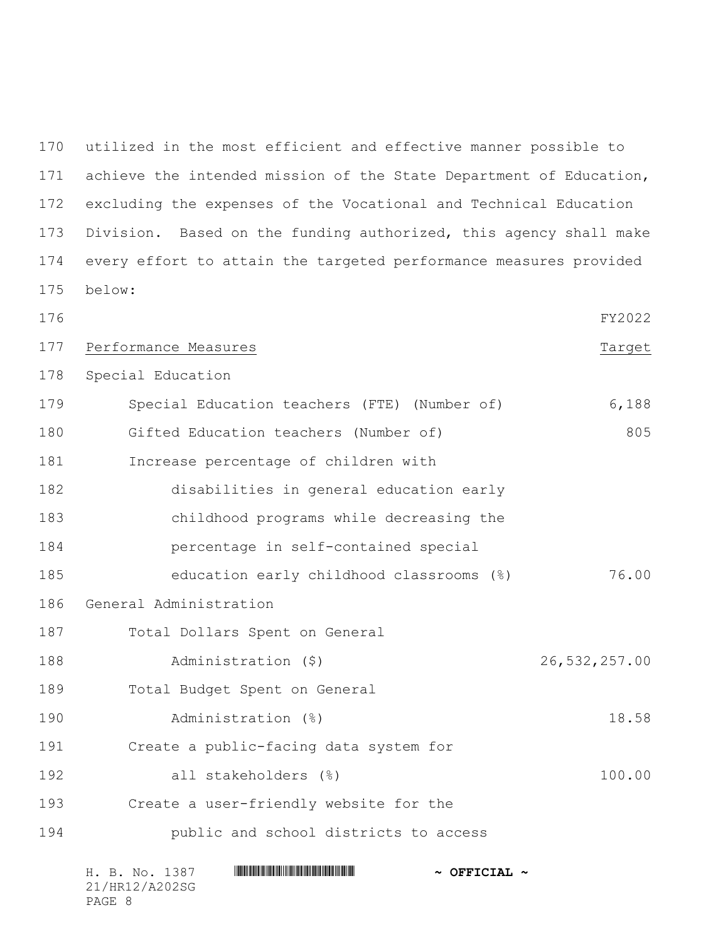utilized in the most efficient and effective manner possible to achieve the intended mission of the State Department of Education, excluding the expenses of the Vocational and Technical Education Division. Based on the funding authorized, this agency shall make every effort to attain the targeted performance measures provided below:

H. B. No. 1387 \*HR12/A202SG\* **~ OFFICIAL ~** FY2022 177 Performance Measures Tames And the Control of the Control of the Control of the Control of the Control of Target Special Education Special Education teachers (FTE) (Number of) 6,188 180 Gifted Education teachers (Number of) 805 Increase percentage of children with disabilities in general education early childhood programs while decreasing the percentage in self-contained special education early childhood classrooms (%) 76.00 General Administration Total Dollars Spent on General Administration (\$) 26,532,257.00 Total Budget Spent on General Administration (%) 18.58 Create a public-facing data system for all stakeholders (%) 100.00 Create a user-friendly website for the public and school districts to access

| H. B. No. 1387 | $\sim$ OFFICIAL |
|----------------|-----------------|
| 21/HR12/A202SG |                 |
| PAGE 8         |                 |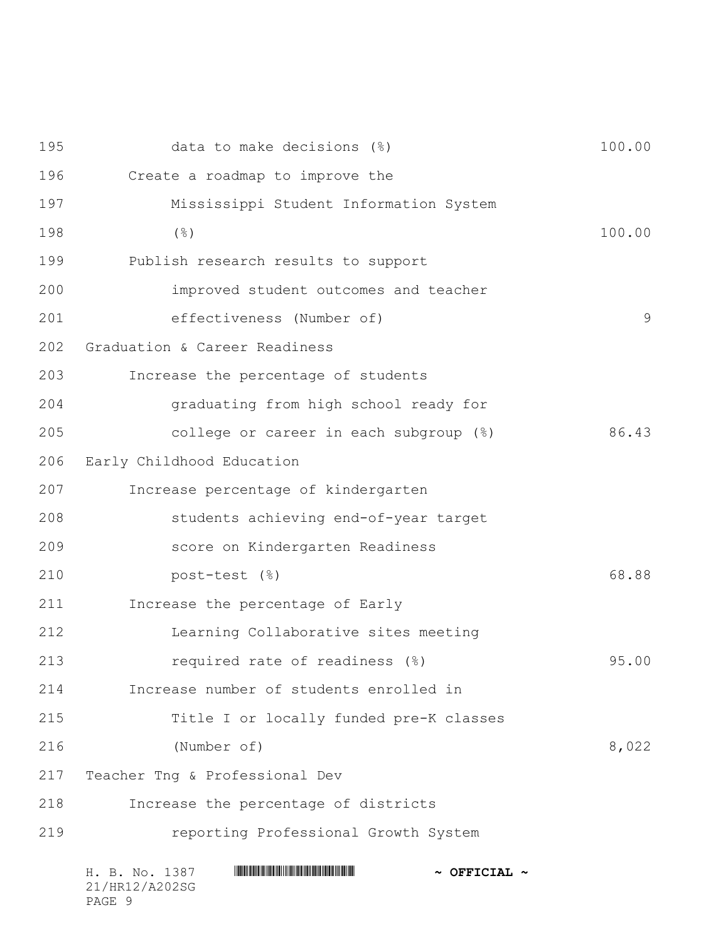| 195 | data to make decisions (%)                                 | 100.00 |
|-----|------------------------------------------------------------|--------|
| 196 | Create a roadmap to improve the                            |        |
| 197 | Mississippi Student Information System                     |        |
| 198 | $(\frac{6}{6})$                                            | 100.00 |
| 199 | Publish research results to support                        |        |
| 200 | improved student outcomes and teacher                      |        |
| 201 | effectiveness (Number of)                                  | 9      |
| 202 | Graduation & Career Readiness                              |        |
| 203 | Increase the percentage of students                        |        |
| 204 | graduating from high school ready for                      |        |
| 205 | college or career in each subgroup (%)                     | 86.43  |
| 206 | Early Childhood Education                                  |        |
| 207 | Increase percentage of kindergarten                        |        |
| 208 | students achieving end-of-year target                      |        |
| 209 | score on Kindergarten Readiness                            |        |
| 210 | post-test (%)                                              | 68.88  |
| 211 | Increase the percentage of Early                           |        |
| 212 | Learning Collaborative sites meeting                       |        |
| 213 | required rate of readiness (%)                             | 95.00  |
| 214 | Increase number of students enrolled in                    |        |
| 215 | Title I or locally funded pre-K classes                    |        |
| 216 | (Number of)                                                | 8,022  |
| 217 | Teacher Tng & Professional Dev                             |        |
| 218 | Increase the percentage of districts                       |        |
| 219 | reporting Professional Growth System                       |        |
|     | H. B. No. 1387<br>$\sim$ OFFICIAL $\sim$<br>21/HR12/A202SG |        |

PAGE 9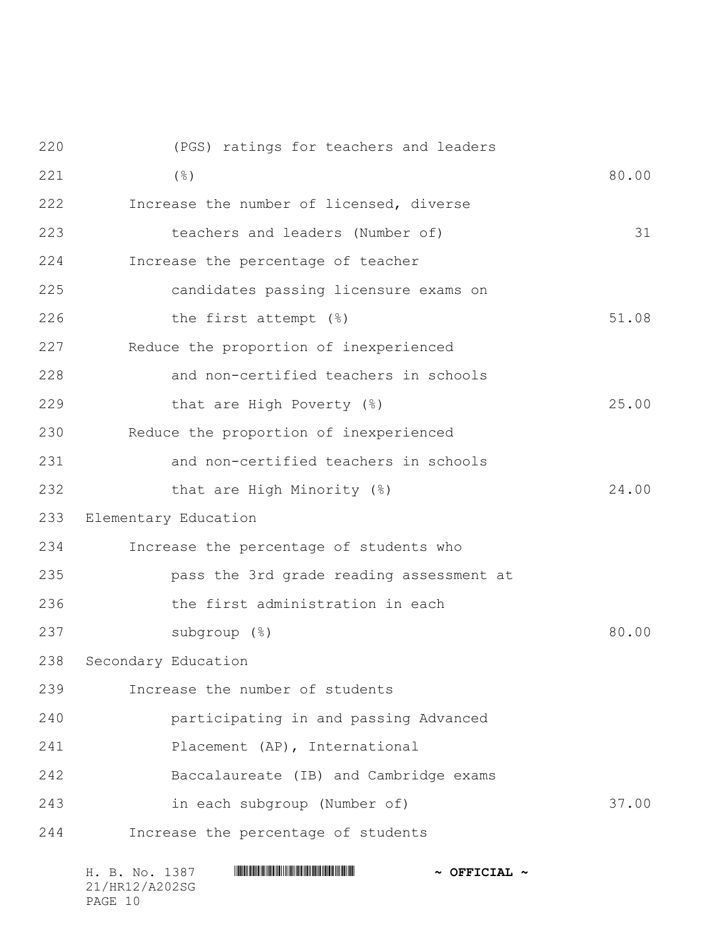| 51.08<br>25.00<br>24.00 |
|-------------------------|
|                         |
|                         |
|                         |
|                         |
|                         |
|                         |
|                         |
|                         |
|                         |
|                         |
|                         |
|                         |
| 80.00                   |
|                         |
|                         |
|                         |
|                         |
|                         |
| 37.00                   |
|                         |
|                         |

| H. B. No. 1387 | $\sim$ OFFICIAL $\sim$ |
|----------------|------------------------|
| 21/HR12/A202SG |                        |
| PAGE 10        |                        |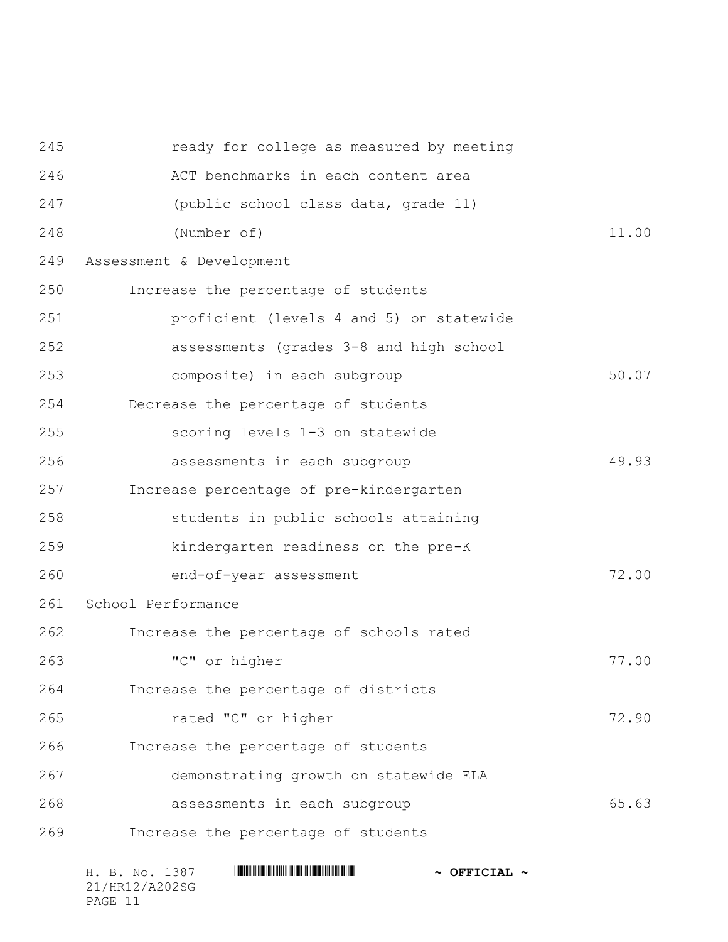| 245 | ready for college as measured by meeting |       |
|-----|------------------------------------------|-------|
| 246 | ACT benchmarks in each content area      |       |
| 247 | (public school class data, grade 11)     |       |
| 248 | (Number of)                              | 11.00 |
| 249 | Assessment & Development                 |       |
| 250 | Increase the percentage of students      |       |
| 251 | proficient (levels 4 and 5) on statewide |       |
| 252 | assessments (grades 3-8 and high school  |       |
| 253 | composite) in each subgroup              | 50.07 |
| 254 | Decrease the percentage of students      |       |
| 255 | scoring levels 1-3 on statewide          |       |
| 256 | assessments in each subgroup             | 49.93 |
| 257 | Increase percentage of pre-kindergarten  |       |
| 258 | students in public schools attaining     |       |
| 259 | kindergarten readiness on the pre-K      |       |
| 260 | end-of-year assessment                   | 72.00 |
| 261 | School Performance                       |       |
| 262 | Increase the percentage of schools rated |       |
| 263 | "C" or higher                            | 77.00 |
| 264 | Increase the percentage of districts     |       |
| 265 | rated "C" or higher                      | 72.90 |
| 266 | Increase the percentage of students      |       |
| 267 | demonstrating growth on statewide ELA    |       |
| 268 | assessments in each subgroup             | 65.63 |
| 269 | Increase the percentage of students      |       |
|     |                                          |       |

| H. B. No. 1387 | $\sim$ OFFICIAL $\sim$ |
|----------------|------------------------|
| 21/HR12/A202SG |                        |
| PAGE 11        |                        |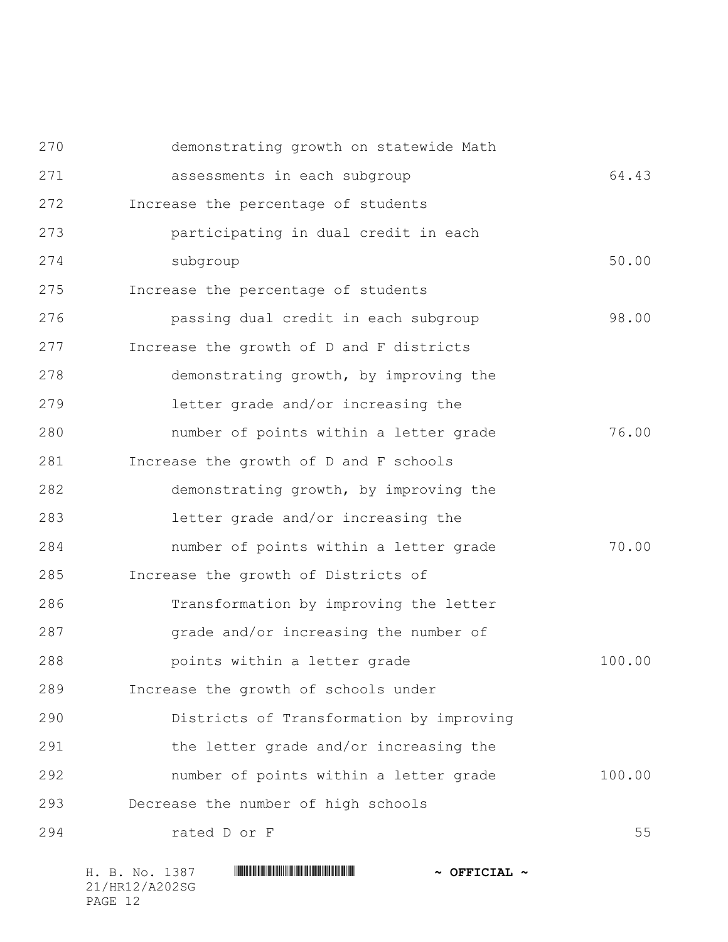| 270 | demonstrating growth on statewide Math   |        |
|-----|------------------------------------------|--------|
| 271 | assessments in each subgroup             | 64.43  |
| 272 | Increase the percentage of students      |        |
| 273 | participating in dual credit in each     |        |
| 274 | subgroup                                 | 50.00  |
| 275 | Increase the percentage of students      |        |
| 276 | passing dual credit in each subgroup     | 98.00  |
| 277 | Increase the growth of D and F districts |        |
| 278 | demonstrating growth, by improving the   |        |
| 279 | letter grade and/or increasing the       |        |
| 280 | number of points within a letter grade   | 76.00  |
| 281 | Increase the growth of D and F schools   |        |
| 282 | demonstrating growth, by improving the   |        |
| 283 | letter grade and/or increasing the       |        |
| 284 | number of points within a letter grade   | 70.00  |
| 285 | Increase the growth of Districts of      |        |
| 286 | Transformation by improving the letter   |        |
| 287 | grade and/or increasing the number of    |        |
| 288 | points within a letter grade             | 100.00 |
| 289 | Increase the growth of schools under     |        |
| 290 | Districts of Transformation by improving |        |
| 291 | the letter grade and/or increasing the   |        |
| 292 | number of points within a letter grade   | 100.00 |
| 293 | Decrease the number of high schools      |        |
| 294 | rated D or F                             | 55     |
|     |                                          |        |

| H. B. No. 1387 | $\sim$ OFFICIAL $\sim$ |
|----------------|------------------------|
| 21/HR12/A202SG |                        |
| PAGE 12        |                        |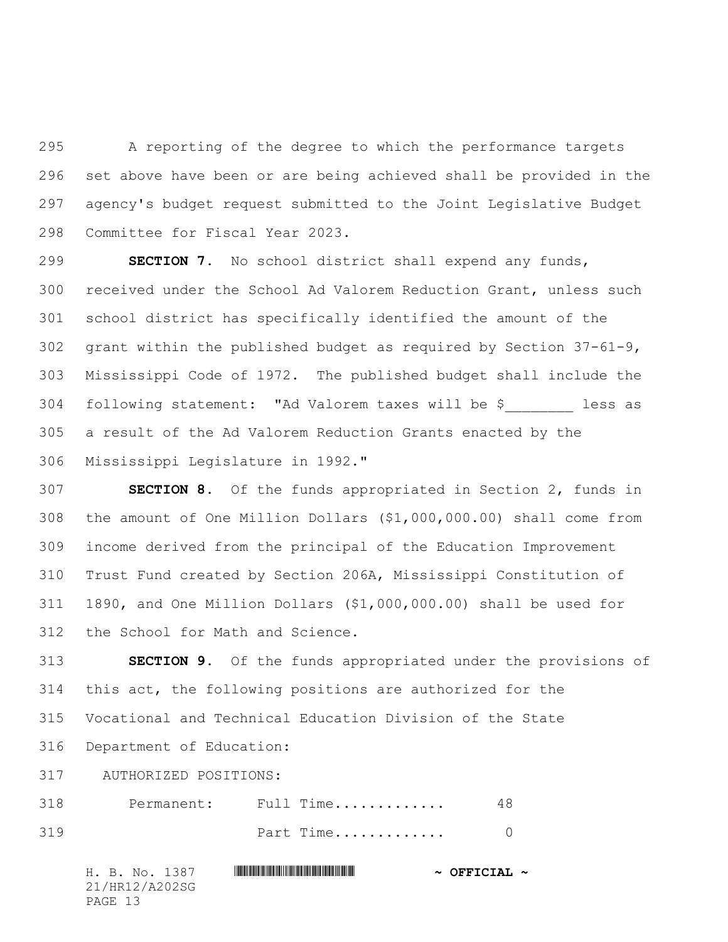A reporting of the degree to which the performance targets set above have been or are being achieved shall be provided in the agency's budget request submitted to the Joint Legislative Budget Committee for Fiscal Year 2023.

 **SECTION 7.** No school district shall expend any funds, received under the School Ad Valorem Reduction Grant, unless such school district has specifically identified the amount of the grant within the published budget as required by Section 37-61-9, Mississippi Code of 1972. The published budget shall include the following statement: "Ad Valorem taxes will be \$\_\_\_\_\_\_\_\_ less as a result of the Ad Valorem Reduction Grants enacted by the Mississippi Legislature in 1992."

 **SECTION 8.** Of the funds appropriated in Section 2, funds in the amount of One Million Dollars (\$1,000,000.00) shall come from income derived from the principal of the Education Improvement Trust Fund created by Section 206A, Mississippi Constitution of 1890, and One Million Dollars (\$1,000,000.00) shall be used for the School for Math and Science.

 **SECTION 9.** Of the funds appropriated under the provisions of this act, the following positions are authorized for the Vocational and Technical Education Division of the State Department of Education:

317 AUTHORIZED POSITIONS:

| 318 | Permanent: | Full Time |  |
|-----|------------|-----------|--|
| 319 |            | Part Time |  |

H. B. No. 1387 **HRING CONSERVERSE AND ALL AND AZO CONSERVERSE AND AZON CONSERVERSE AND AZON CONSERVERSE AND A** 21/HR12/A202SG PAGE 13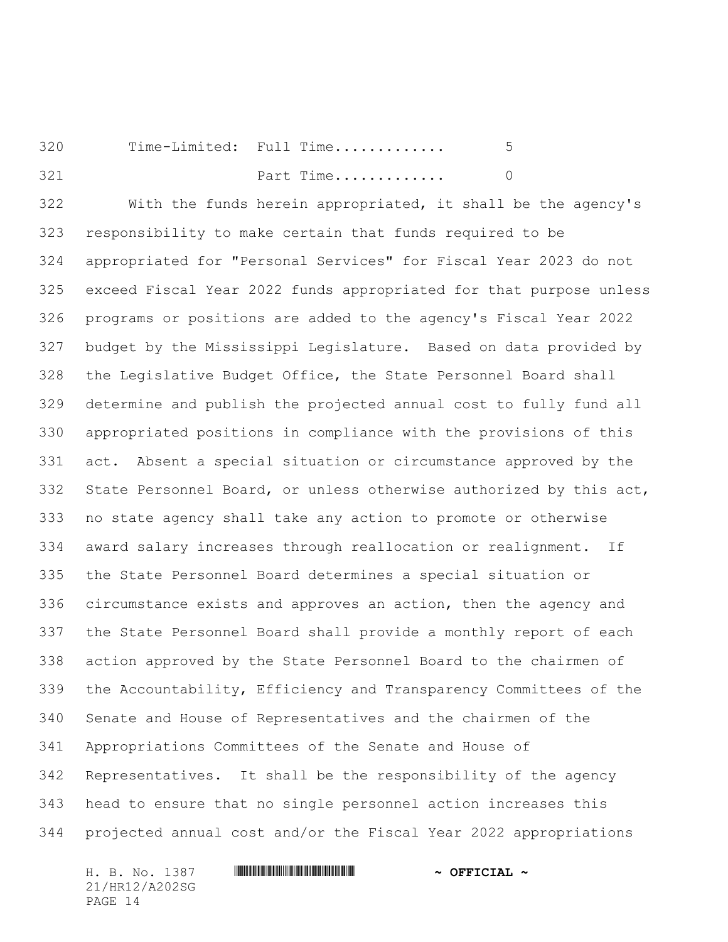Time-Limited: Full Time............. 5 **Part Time.............** 0

 With the funds herein appropriated, it shall be the agency's responsibility to make certain that funds required to be appropriated for "Personal Services" for Fiscal Year 2023 do not exceed Fiscal Year 2022 funds appropriated for that purpose unless programs or positions are added to the agency's Fiscal Year 2022 budget by the Mississippi Legislature. Based on data provided by the Legislative Budget Office, the State Personnel Board shall determine and publish the projected annual cost to fully fund all appropriated positions in compliance with the provisions of this act. Absent a special situation or circumstance approved by the State Personnel Board, or unless otherwise authorized by this act, no state agency shall take any action to promote or otherwise award salary increases through reallocation or realignment. If the State Personnel Board determines a special situation or circumstance exists and approves an action, then the agency and the State Personnel Board shall provide a monthly report of each action approved by the State Personnel Board to the chairmen of the Accountability, Efficiency and Transparency Committees of the Senate and House of Representatives and the chairmen of the Appropriations Committees of the Senate and House of Representatives. It shall be the responsibility of the agency head to ensure that no single personnel action increases this projected annual cost and/or the Fiscal Year 2022 appropriations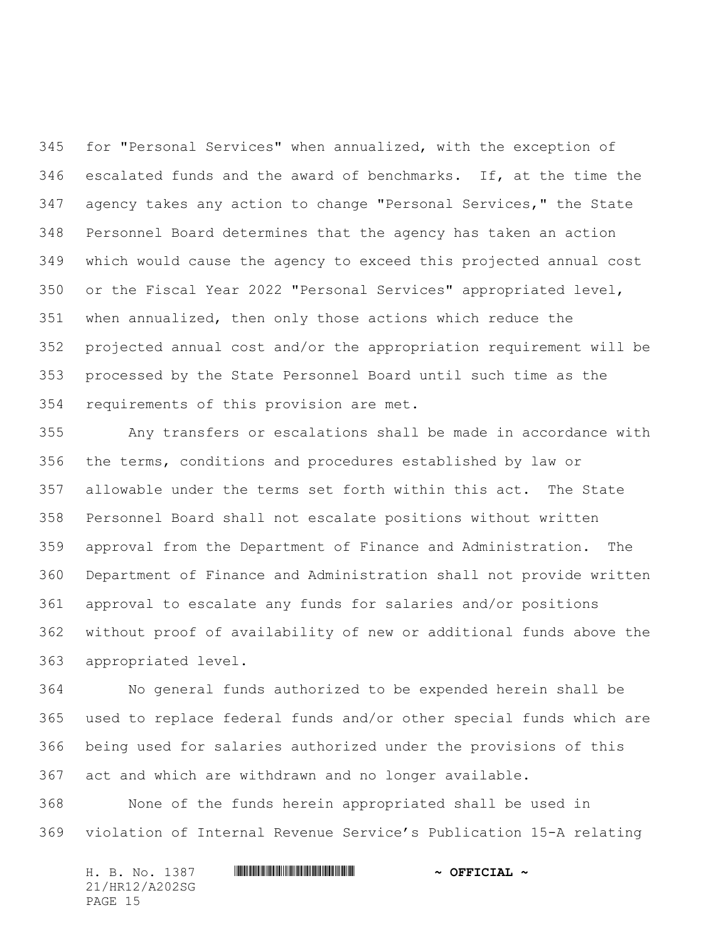for "Personal Services" when annualized, with the exception of escalated funds and the award of benchmarks. If, at the time the agency takes any action to change "Personal Services," the State Personnel Board determines that the agency has taken an action which would cause the agency to exceed this projected annual cost or the Fiscal Year 2022 "Personal Services" appropriated level, when annualized, then only those actions which reduce the projected annual cost and/or the appropriation requirement will be processed by the State Personnel Board until such time as the requirements of this provision are met.

 Any transfers or escalations shall be made in accordance with the terms, conditions and procedures established by law or allowable under the terms set forth within this act. The State Personnel Board shall not escalate positions without written approval from the Department of Finance and Administration. The Department of Finance and Administration shall not provide written approval to escalate any funds for salaries and/or positions without proof of availability of new or additional funds above the appropriated level.

 No general funds authorized to be expended herein shall be used to replace federal funds and/or other special funds which are being used for salaries authorized under the provisions of this act and which are withdrawn and no longer available.

 None of the funds herein appropriated shall be used in violation of Internal Revenue Service's Publication 15-A relating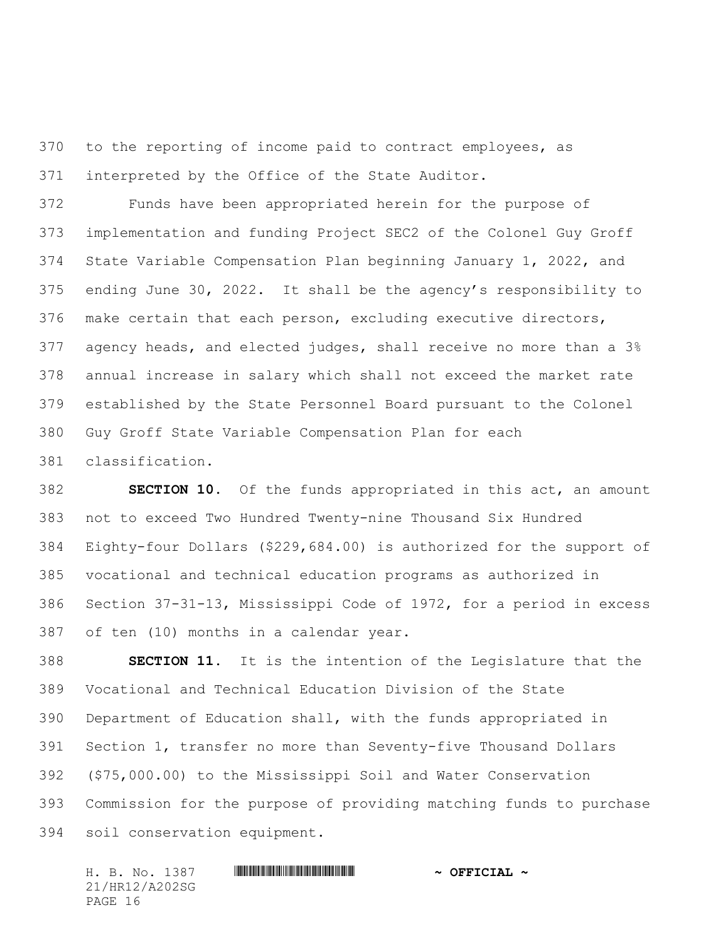to the reporting of income paid to contract employees, as interpreted by the Office of the State Auditor.

 Funds have been appropriated herein for the purpose of implementation and funding Project SEC2 of the Colonel Guy Groff State Variable Compensation Plan beginning January 1, 2022, and ending June 30, 2022. It shall be the agency's responsibility to make certain that each person, excluding executive directors, agency heads, and elected judges, shall receive no more than a 3% annual increase in salary which shall not exceed the market rate established by the State Personnel Board pursuant to the Colonel Guy Groff State Variable Compensation Plan for each classification.

 **SECTION 10.** Of the funds appropriated in this act, an amount not to exceed Two Hundred Twenty-nine Thousand Six Hundred Eighty-four Dollars (\$229,684.00) is authorized for the support of vocational and technical education programs as authorized in Section 37-31-13, Mississippi Code of 1972, for a period in excess of ten (10) months in a calendar year.

 **SECTION 11.** It is the intention of the Legislature that the Vocational and Technical Education Division of the State Department of Education shall, with the funds appropriated in Section 1, transfer no more than Seventy-five Thousand Dollars (\$75,000.00) to the Mississippi Soil and Water Conservation Commission for the purpose of providing matching funds to purchase soil conservation equipment.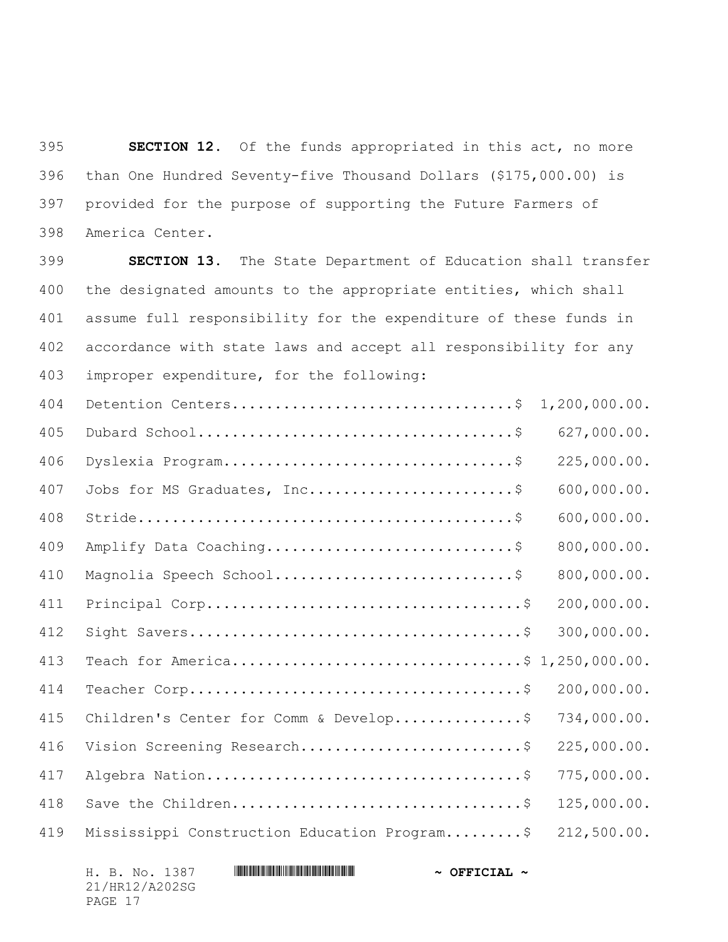**SECTION 12.** Of the funds appropriated in this act, no more than One Hundred Seventy-five Thousand Dollars (\$175,000.00) is provided for the purpose of supporting the Future Farmers of America Center.

 **SECTION 13.** The State Department of Education shall transfer the designated amounts to the appropriate entities, which shall assume full responsibility for the expenditure of these funds in accordance with state laws and accept all responsibility for any improper expenditure, for the following:

| 404 | Detention Centers\$                          | 1, 200, 000.00. |
|-----|----------------------------------------------|-----------------|
| 405 |                                              | 627,000.00.     |
| 406 |                                              | 225,000.00.     |
| 407 | Jobs for MS Graduates, Inc\$                 | 600,000.00.     |
| 408 |                                              | 600,000.00.     |
| 409 | Amplify Data Coaching\$                      | 800,000.00.     |
| 410 | Magnolia Speech School\$                     | 800,000.00.     |
| 411 |                                              | 200,000.00.     |
| 412 |                                              | 300,000.00.     |
| 413 | Teach for America\$ 1,250,000.00.            |                 |
| 414 |                                              | 200,000.00.     |
| 415 | Children's Center for Comm & Develop\$       | 734,000.00.     |
| 416 | Vision Screening Research\$                  | 225,000.00.     |
| 417 |                                              | 775,000.00.     |
| 418 |                                              | 125,000.00.     |
| 419 | Mississippi Construction Education Program\$ | 212,500.00.     |

H. B. No. 1387 **HRING CONSERVANCE AND AZOTT A CONSERVANCE A** 21/HR12/A202SG PAGE 17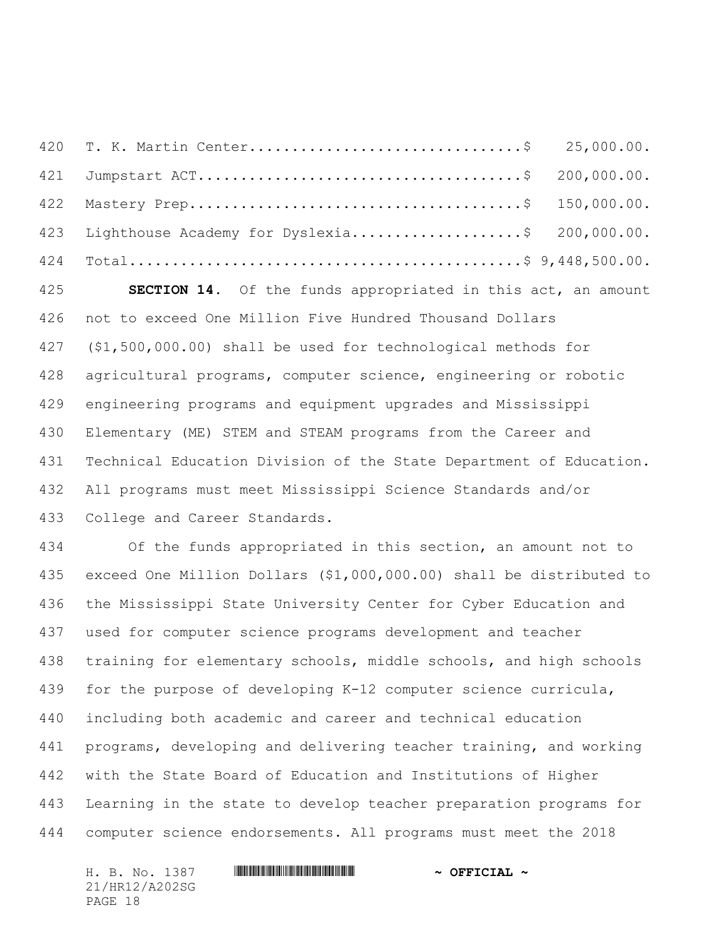| 423 Lighthouse Academy for Dyslexia\$ 200,000.00. |  |
|---------------------------------------------------|--|
|                                                   |  |

 **SECTION 14.** Of the funds appropriated in this act, an amount not to exceed One Million Five Hundred Thousand Dollars (\$1,500,000.00) shall be used for technological methods for agricultural programs, computer science, engineering or robotic engineering programs and equipment upgrades and Mississippi Elementary (ME) STEM and STEAM programs from the Career and Technical Education Division of the State Department of Education. All programs must meet Mississippi Science Standards and/or College and Career Standards.

 Of the funds appropriated in this section, an amount not to exceed One Million Dollars (\$1,000,000.00) shall be distributed to the Mississippi State University Center for Cyber Education and used for computer science programs development and teacher training for elementary schools, middle schools, and high schools for the purpose of developing K-12 computer science curricula, including both academic and career and technical education programs, developing and delivering teacher training, and working with the State Board of Education and Institutions of Higher Learning in the state to develop teacher preparation programs for computer science endorsements. All programs must meet the 2018

21/HR12/A202SG PAGE 18

## H. B. No. 1387 \*HR12/A202SG\* **~ OFFICIAL ~**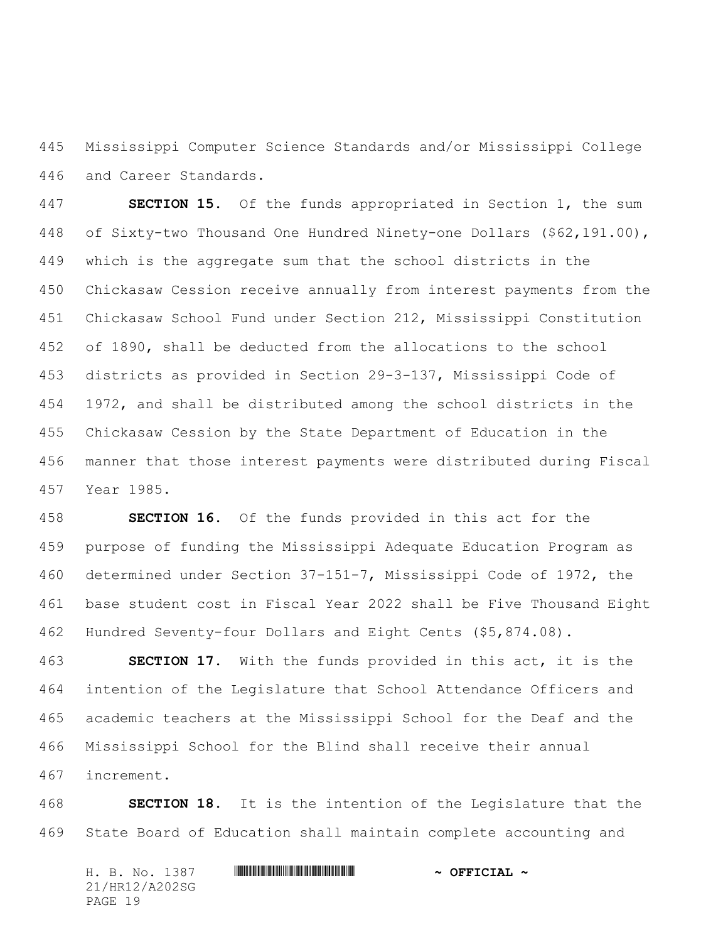Mississippi Computer Science Standards and/or Mississippi College and Career Standards.

 **SECTION 15.** Of the funds appropriated in Section 1, the sum of Sixty-two Thousand One Hundred Ninety-one Dollars (\$62,191.00), which is the aggregate sum that the school districts in the Chickasaw Cession receive annually from interest payments from the Chickasaw School Fund under Section 212, Mississippi Constitution of 1890, shall be deducted from the allocations to the school districts as provided in Section 29-3-137, Mississippi Code of 1972, and shall be distributed among the school districts in the Chickasaw Cession by the State Department of Education in the manner that those interest payments were distributed during Fiscal Year 1985.

 **SECTION 16.** Of the funds provided in this act for the purpose of funding the Mississippi Adequate Education Program as determined under Section 37-151-7, Mississippi Code of 1972, the base student cost in Fiscal Year 2022 shall be Five Thousand Eight Hundred Seventy-four Dollars and Eight Cents (\$5,874.08).

 **SECTION 17.** With the funds provided in this act, it is the intention of the Legislature that School Attendance Officers and academic teachers at the Mississippi School for the Deaf and the Mississippi School for the Blind shall receive their annual increment.

 **SECTION 18.** It is the intention of the Legislature that the State Board of Education shall maintain complete accounting and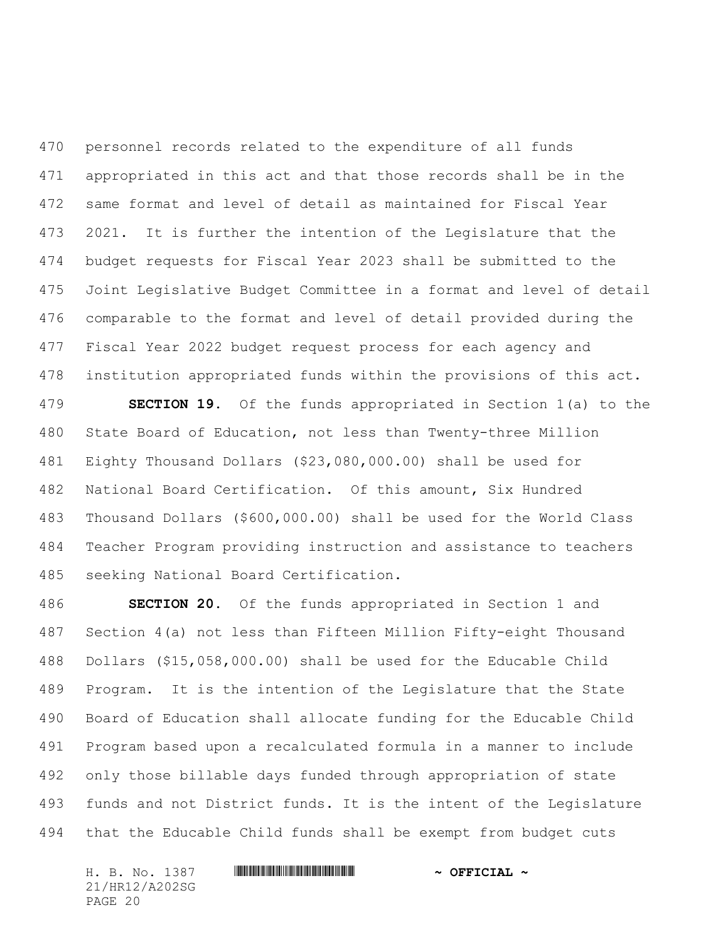personnel records related to the expenditure of all funds appropriated in this act and that those records shall be in the same format and level of detail as maintained for Fiscal Year 2021. It is further the intention of the Legislature that the budget requests for Fiscal Year 2023 shall be submitted to the Joint Legislative Budget Committee in a format and level of detail comparable to the format and level of detail provided during the Fiscal Year 2022 budget request process for each agency and institution appropriated funds within the provisions of this act.

 **SECTION 19.** Of the funds appropriated in Section 1(a) to the State Board of Education, not less than Twenty-three Million Eighty Thousand Dollars (\$23,080,000.00) shall be used for National Board Certification. Of this amount, Six Hundred Thousand Dollars (\$600,000.00) shall be used for the World Class Teacher Program providing instruction and assistance to teachers seeking National Board Certification.

 **SECTION 20.** Of the funds appropriated in Section 1 and Section 4(a) not less than Fifteen Million Fifty-eight Thousand Dollars (\$15,058,000.00) shall be used for the Educable Child Program. It is the intention of the Legislature that the State Board of Education shall allocate funding for the Educable Child Program based upon a recalculated formula in a manner to include only those billable days funded through appropriation of state funds and not District funds. It is the intent of the Legislature that the Educable Child funds shall be exempt from budget cuts

21/HR12/A202SG PAGE 20

## H. B. No. 1387 \*HR12/A202SG\* **~ OFFICIAL ~**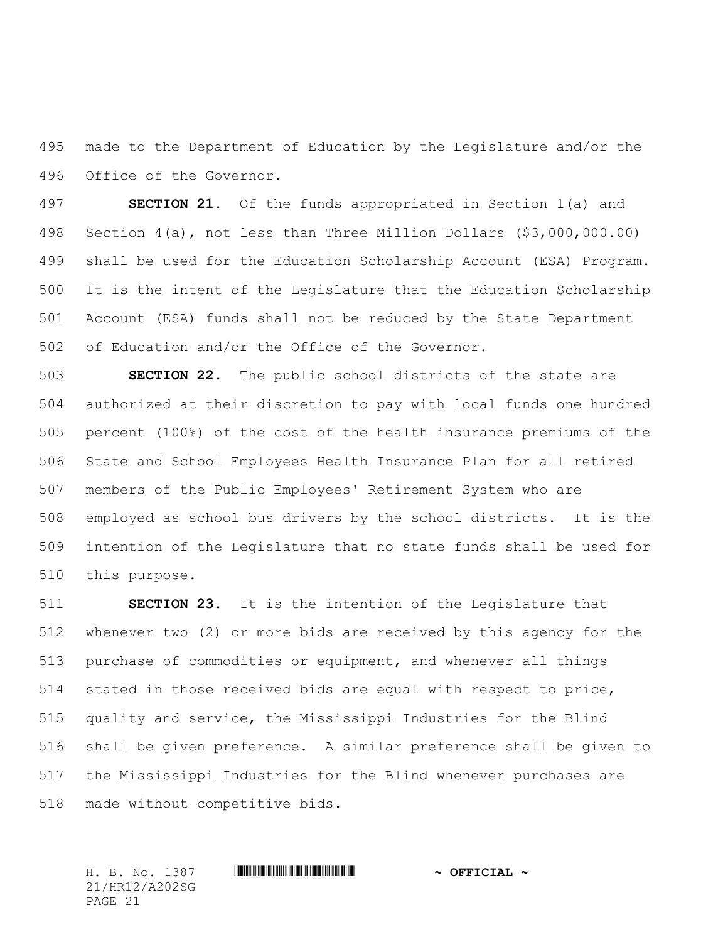made to the Department of Education by the Legislature and/or the Office of the Governor.

 **SECTION 21.** Of the funds appropriated in Section 1(a) and Section 4(a), not less than Three Million Dollars (\$3,000,000.00) shall be used for the Education Scholarship Account (ESA) Program. It is the intent of the Legislature that the Education Scholarship Account (ESA) funds shall not be reduced by the State Department of Education and/or the Office of the Governor.

 **SECTION 22.** The public school districts of the state are authorized at their discretion to pay with local funds one hundred percent (100%) of the cost of the health insurance premiums of the State and School Employees Health Insurance Plan for all retired members of the Public Employees' Retirement System who are employed as school bus drivers by the school districts. It is the intention of the Legislature that no state funds shall be used for this purpose.

 **SECTION 23.** It is the intention of the Legislature that whenever two (2) or more bids are received by this agency for the purchase of commodities or equipment, and whenever all things stated in those received bids are equal with respect to price, quality and service, the Mississippi Industries for the Blind shall be given preference. A similar preference shall be given to the Mississippi Industries for the Blind whenever purchases are made without competitive bids.

21/HR12/A202SG PAGE 21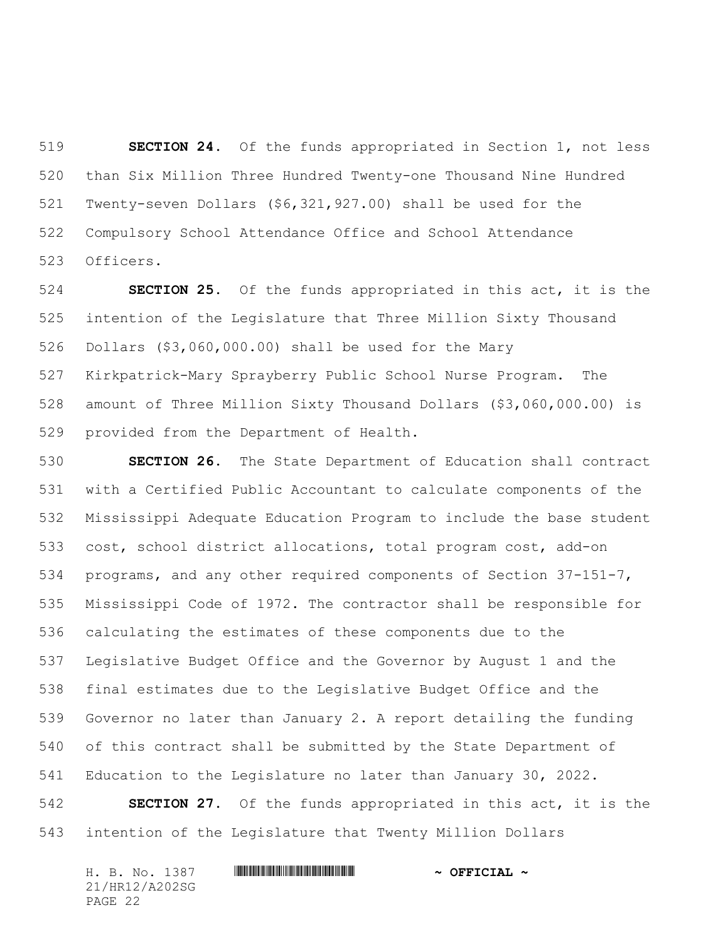**SECTION 24.** Of the funds appropriated in Section 1, not less than Six Million Three Hundred Twenty-one Thousand Nine Hundred Twenty-seven Dollars (\$6,321,927.00) shall be used for the Compulsory School Attendance Office and School Attendance Officers.

 **SECTION 25.** Of the funds appropriated in this act, it is the intention of the Legislature that Three Million Sixty Thousand Dollars (\$3,060,000.00) shall be used for the Mary Kirkpatrick-Mary Sprayberry Public School Nurse Program. The amount of Three Million Sixty Thousand Dollars (\$3,060,000.00) is provided from the Department of Health.

 **SECTION 26.** The State Department of Education shall contract with a Certified Public Accountant to calculate components of the Mississippi Adequate Education Program to include the base student cost, school district allocations, total program cost, add-on programs, and any other required components of Section 37-151-7, Mississippi Code of 1972. The contractor shall be responsible for calculating the estimates of these components due to the Legislative Budget Office and the Governor by August 1 and the final estimates due to the Legislative Budget Office and the Governor no later than January 2. A report detailing the funding of this contract shall be submitted by the State Department of Education to the Legislature no later than January 30, 2022.

 **SECTION 27.** Of the funds appropriated in this act, it is the intention of the Legislature that Twenty Million Dollars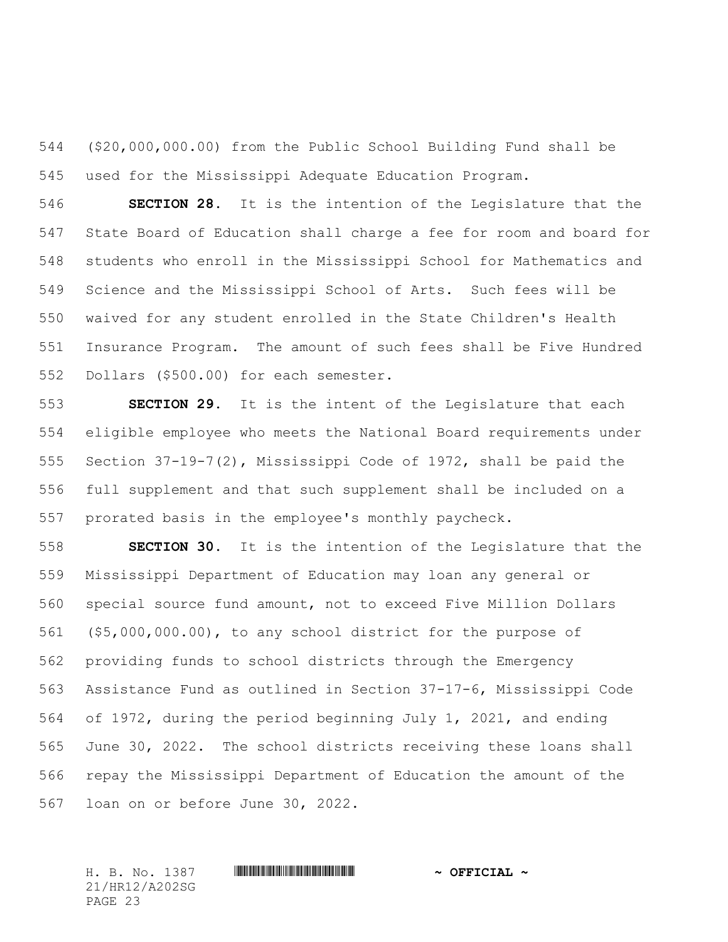(\$20,000,000.00) from the Public School Building Fund shall be used for the Mississippi Adequate Education Program.

 **SECTION 28.** It is the intention of the Legislature that the State Board of Education shall charge a fee for room and board for students who enroll in the Mississippi School for Mathematics and Science and the Mississippi School of Arts. Such fees will be waived for any student enrolled in the State Children's Health Insurance Program. The amount of such fees shall be Five Hundred Dollars (\$500.00) for each semester.

 **SECTION 29.** It is the intent of the Legislature that each eligible employee who meets the National Board requirements under Section 37-19-7(2), Mississippi Code of 1972, shall be paid the full supplement and that such supplement shall be included on a prorated basis in the employee's monthly paycheck.

 **SECTION 30.** It is the intention of the Legislature that the Mississippi Department of Education may loan any general or special source fund amount, not to exceed Five Million Dollars (\$5,000,000.00), to any school district for the purpose of providing funds to school districts through the Emergency Assistance Fund as outlined in Section 37-17-6, Mississippi Code of 1972, during the period beginning July 1, 2021, and ending June 30, 2022. The school districts receiving these loans shall repay the Mississippi Department of Education the amount of the loan on or before June 30, 2022.

21/HR12/A202SG PAGE 23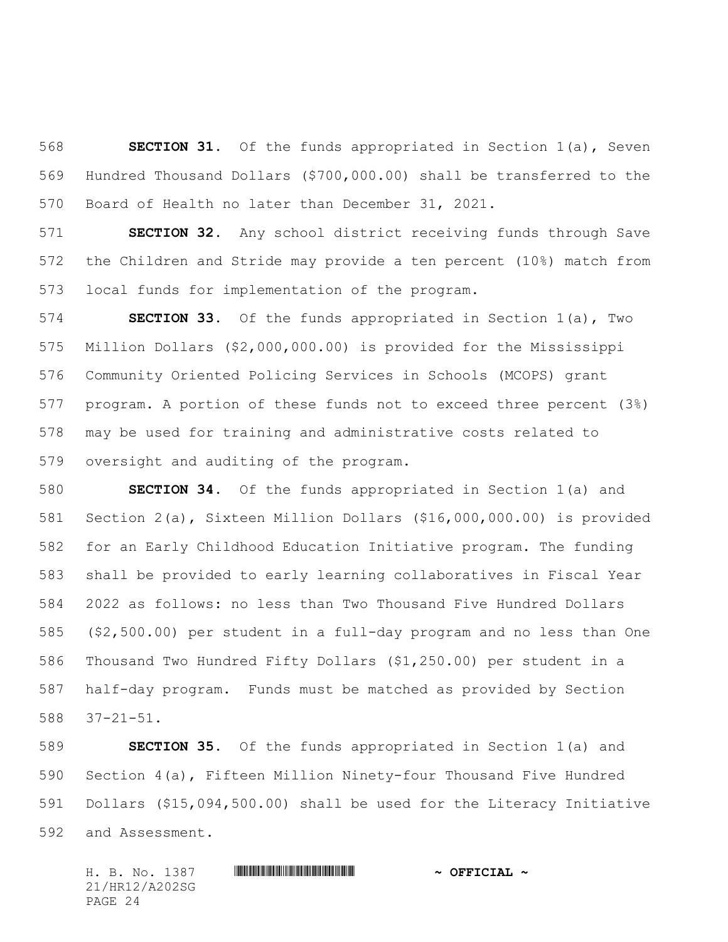**SECTION 31.** Of the funds appropriated in Section 1(a), Seven Hundred Thousand Dollars (\$700,000.00) shall be transferred to the Board of Health no later than December 31, 2021.

 **SECTION 32.** Any school district receiving funds through Save the Children and Stride may provide a ten percent (10%) match from local funds for implementation of the program.

 **SECTION 33.** Of the funds appropriated in Section 1(a), Two Million Dollars (\$2,000,000.00) is provided for the Mississippi Community Oriented Policing Services in Schools (MCOPS) grant program. A portion of these funds not to exceed three percent (3%) may be used for training and administrative costs related to oversight and auditing of the program.

 **SECTION 34.** Of the funds appropriated in Section 1(a) and Section 2(a), Sixteen Million Dollars (\$16,000,000.00) is provided for an Early Childhood Education Initiative program. The funding shall be provided to early learning collaboratives in Fiscal Year 2022 as follows: no less than Two Thousand Five Hundred Dollars (\$2,500.00) per student in a full-day program and no less than One Thousand Two Hundred Fifty Dollars (\$1,250.00) per student in a half-day program. Funds must be matched as provided by Section 37-21-51.

 **SECTION 35.** Of the funds appropriated in Section 1(a) and Section 4(a), Fifteen Million Ninety-four Thousand Five Hundred Dollars (\$15,094,500.00) shall be used for the Literacy Initiative and Assessment.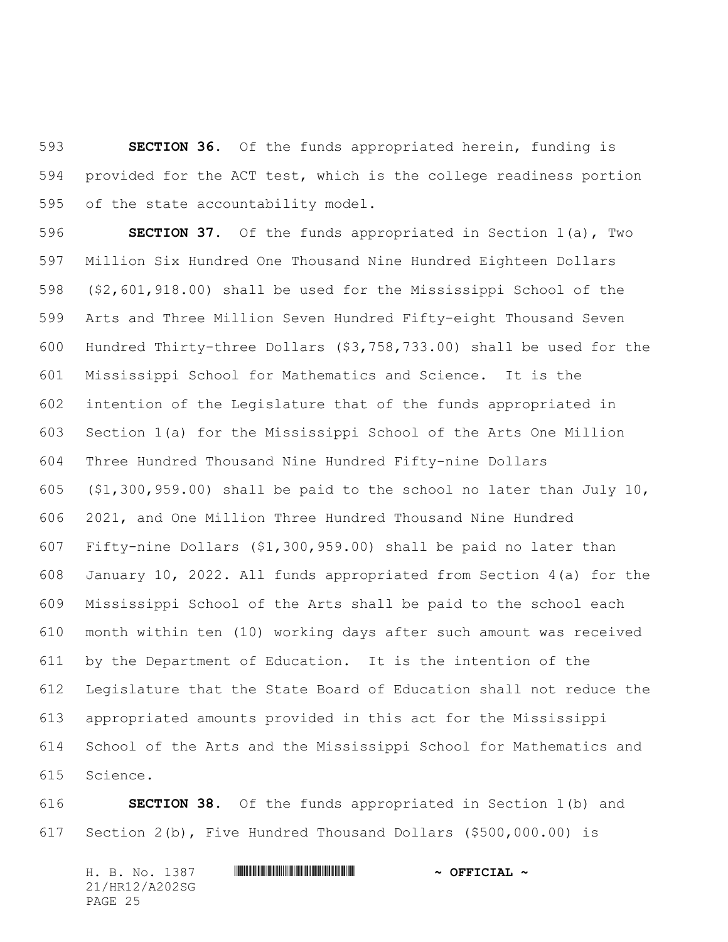**SECTION 36.** Of the funds appropriated herein, funding is provided for the ACT test, which is the college readiness portion of the state accountability model.

 **SECTION 37.** Of the funds appropriated in Section 1(a), Two Million Six Hundred One Thousand Nine Hundred Eighteen Dollars (\$2,601,918.00) shall be used for the Mississippi School of the Arts and Three Million Seven Hundred Fifty-eight Thousand Seven Hundred Thirty-three Dollars (\$3,758,733.00) shall be used for the Mississippi School for Mathematics and Science. It is the intention of the Legislature that of the funds appropriated in Section 1(a) for the Mississippi School of the Arts One Million Three Hundred Thousand Nine Hundred Fifty-nine Dollars (\$1,300,959.00) shall be paid to the school no later than July 10, 2021, and One Million Three Hundred Thousand Nine Hundred Fifty-nine Dollars (\$1,300,959.00) shall be paid no later than January 10, 2022. All funds appropriated from Section 4(a) for the Mississippi School of the Arts shall be paid to the school each month within ten (10) working days after such amount was received by the Department of Education. It is the intention of the Legislature that the State Board of Education shall not reduce the appropriated amounts provided in this act for the Mississippi School of the Arts and the Mississippi School for Mathematics and Science.

 **SECTION 38.** Of the funds appropriated in Section 1(b) and Section 2(b), Five Hundred Thousand Dollars (\$500,000.00) is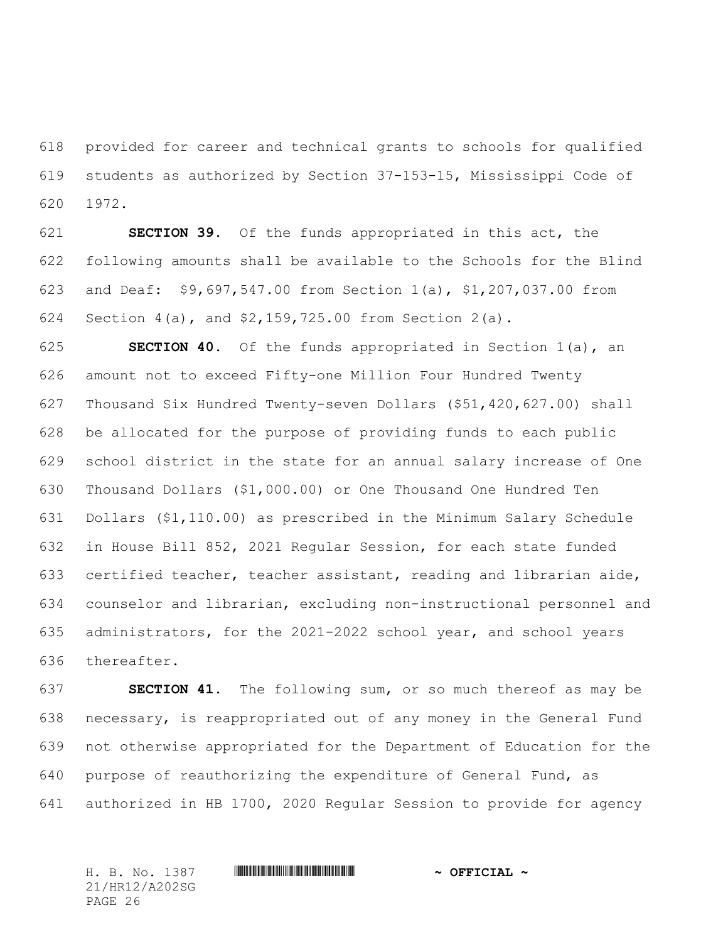provided for career and technical grants to schools for qualified students as authorized by Section 37-153-15, Mississippi Code of 1972.

 **SECTION 39.** Of the funds appropriated in this act, the following amounts shall be available to the Schools for the Blind and Deaf: \$9,697,547.00 from Section 1(a), \$1,207,037.00 from Section 4(a), and \$2,159,725.00 from Section 2(a).

 **SECTION 40.** Of the funds appropriated in Section 1(a), an amount not to exceed Fifty-one Million Four Hundred Twenty Thousand Six Hundred Twenty-seven Dollars (\$51,420,627.00) shall be allocated for the purpose of providing funds to each public school district in the state for an annual salary increase of One Thousand Dollars (\$1,000.00) or One Thousand One Hundred Ten Dollars (\$1,110.00) as prescribed in the Minimum Salary Schedule in House Bill 852, 2021 Regular Session, for each state funded certified teacher, teacher assistant, reading and librarian aide, counselor and librarian, excluding non-instructional personnel and administrators, for the 2021-2022 school year, and school years thereafter.

 **SECTION 41.** The following sum, or so much thereof as may be necessary, is reappropriated out of any money in the General Fund not otherwise appropriated for the Department of Education for the purpose of reauthorizing the expenditure of General Fund, as authorized in HB 1700, 2020 Regular Session to provide for agency